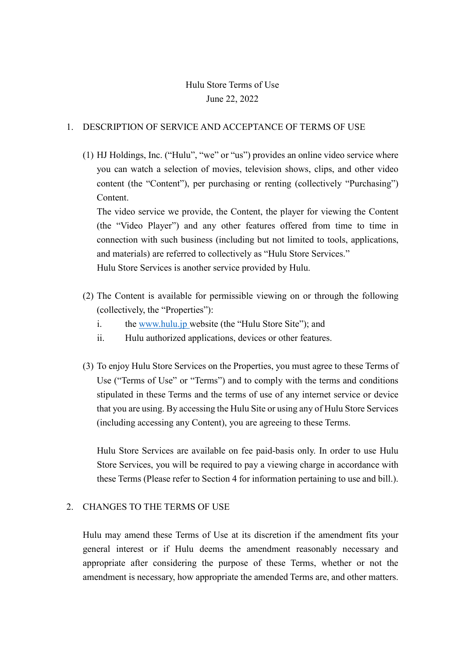# Hulu Store Terms of Use June 22, 2022

### 1. DESCRIPTION OF SERVICE AND ACCEPTANCE OF TERMS OF USE

(1) HJ Holdings, Inc. ("Hulu", "we" or "us") provides an online video service where you can watch a selection of movies, television shows, clips, and other video content (the "Content"), per purchasing or renting (collectively "Purchasing") Content.

The video service we provide, the Content, the player for viewing the Content (the "Video Player") and any other features offered from time to time in connection with such business (including but not limited to tools, applications, and materials) are referred to collectively as "Hulu Store Services." Hulu Store Services is another service provided by Hulu.

- (2) The Content is available for permissible viewing on or through the following (collectively, the "Properties"):
	- i. the [www.hulu.jp](http://www.hulu.jp/) website (the "Hulu Store Site"); and
	- ii. Hulu authorized applications, devices or other features.
- (3) To enjoy Hulu Store Services on the Properties, you must agree to these Terms of Use ("Terms of Use" or "Terms") and to comply with the terms and conditions stipulated in these Terms and the terms of use of any internet service or device that you are using. By accessing the Hulu Site or using any of Hulu Store Services (including accessing any Content), you are agreeing to these Terms.

Hulu Store Services are available on fee paid-basis only. In order to use Hulu Store Services, you will be required to pay a viewing charge in accordance with these Terms (Please refer to Section 4 for information pertaining to use and bill.).

#### 2. CHANGES TO THE TERMS OF USE

Hulu may amend these Terms of Use at its discretion if the amendment fits your general interest or if Hulu deems the amendment reasonably necessary and appropriate after considering the purpose of these Terms, whether or not the amendment is necessary, how appropriate the amended Terms are, and other matters.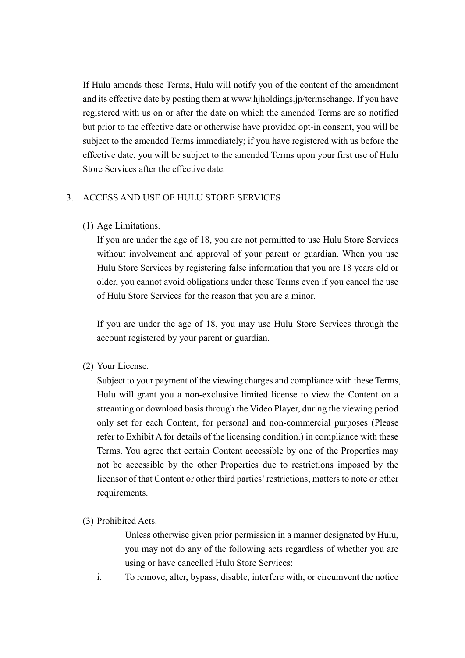If Hulu amends these Terms, Hulu will notify you of the content of the amendment and its effective date by posting them at www.hjholdings.jp/termschange. If you have registered with us on or after the date on which the amended Terms are so notified but prior to the effective date or otherwise have provided opt-in consent, you will be subject to the amended Terms immediately; if you have registered with us before the effective date, you will be subject to the amended Terms upon your first use of Hulu Store Services after the effective date.

### 3. ACCESS AND USE OF HULU STORE SERVICES

(1) Age Limitations.

If you are under the age of 18, you are not permitted to use Hulu Store Services without involvement and approval of your parent or guardian. When you use Hulu Store Services by registering false information that you are 18 years old or older, you cannot avoid obligations under these Terms even if you cancel the use of Hulu Store Services for the reason that you are a minor.

If you are under the age of 18, you may use Hulu Store Services through the account registered by your parent or guardian.

(2) Your License.

Subject to your payment of the viewing charges and compliance with these Terms, Hulu will grant you a non-exclusive limited license to view the Content on a streaming or download basis through the Video Player, during the viewing period only set for each Content, for personal and non-commercial purposes (Please refer to Exhibit A for details of the licensing condition.) in compliance with these Terms. You agree that certain Content accessible by one of the Properties may not be accessible by the other Properties due to restrictions imposed by the licensor of that Content or other third parties' restrictions, matters to note or other requirements.

(3) Prohibited Acts.

Unless otherwise given prior permission in a manner designated by Hulu, you may not do any of the following acts regardless of whether you are using or have cancelled Hulu Store Services:

i. To remove, alter, bypass, disable, interfere with, or circumvent the notice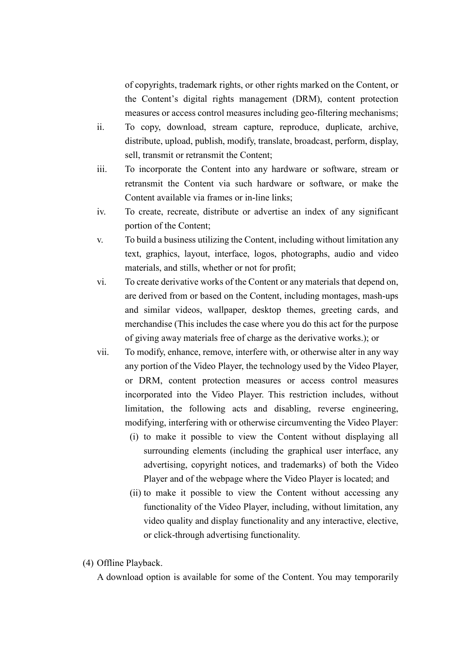of copyrights, trademark rights, or other rights marked on the Content, or the Content's digital rights management (DRM), content protection measures or access control measures including geo-filtering mechanisms;

- ii. To copy, download, stream capture, reproduce, duplicate, archive, distribute, upload, publish, modify, translate, broadcast, perform, display, sell, transmit or retransmit the Content;
- iii. To incorporate the Content into any hardware or software, stream or retransmit the Content via such hardware or software, or make the Content available via frames or in-line links;
- iv. To create, recreate, distribute or advertise an index of any significant portion of the Content;
- v. To build a business utilizing the Content, including without limitation any text, graphics, layout, interface, logos, photographs, audio and video materials, and stills, whether or not for profit;
- vi. To create derivative works of the Content or any materials that depend on, are derived from or based on the Content, including montages, mash-ups and similar videos, wallpaper, desktop themes, greeting cards, and merchandise (This includes the case where you do this act for the purpose of giving away materials free of charge as the derivative works.); or
- vii. To modify, enhance, remove, interfere with, or otherwise alter in any way any portion of the Video Player, the technology used by the Video Player, or DRM, content protection measures or access control measures incorporated into the Video Player. This restriction includes, without limitation, the following acts and disabling, reverse engineering, modifying, interfering with or otherwise circumventing the Video Player:
	- (i) to make it possible to view the Content without displaying all surrounding elements (including the graphical user interface, any advertising, copyright notices, and trademarks) of both the Video Player and of the webpage where the Video Player is located; and
	- (ii) to make it possible to view the Content without accessing any functionality of the Video Player, including, without limitation, any video quality and display functionality and any interactive, elective, or click-through advertising functionality.
- (4) Offline Playback.

A download option is available for some of the Content. You may temporarily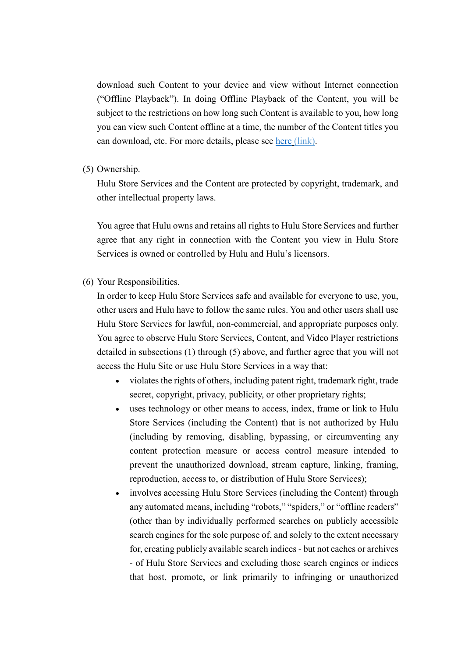download such Content to your device and view without Internet connection ("Offline Playback"). In doing Offline Playback of the Content, you will be subject to the restrictions on how long such Content is available to you, how long you can view such Content offline at a time, the number of the Content titles you can download, etc. For more details, please see [here](https://help.hulu.jp/hc/ja/sections/360007567494) (link).

#### (5) Ownership.

Hulu Store Services and the Content are protected by copyright, trademark, and other intellectual property laws.

You agree that Hulu owns and retains all rights to Hulu Store Services and further agree that any right in connection with the Content you view in Hulu Store Services is owned or controlled by Hulu and Hulu's licensors.

(6) Your Responsibilities.

In order to keep Hulu Store Services safe and available for everyone to use, you, other users and Hulu have to follow the same rules. You and other users shall use Hulu Store Services for lawful, non-commercial, and appropriate purposes only. You agree to observe Hulu Store Services, Content, and Video Player restrictions detailed in subsections (1) through (5) above, and further agree that you will not access the Hulu Site or use Hulu Store Services in a way that:

- violates the rights of others, including patent right, trademark right, trade secret, copyright, privacy, publicity, or other proprietary rights;
- uses technology or other means to access, index, frame or link to Hulu Store Services (including the Content) that is not authorized by Hulu (including by removing, disabling, bypassing, or circumventing any content protection measure or access control measure intended to prevent the unauthorized download, stream capture, linking, framing, reproduction, access to, or distribution of Hulu Store Services);
- involves accessing Hulu Store Services (including the Content) through any automated means, including "robots," "spiders," or "offline readers" (other than by individually performed searches on publicly accessible search engines for the sole purpose of, and solely to the extent necessary for, creating publicly available search indices - but not caches or archives - of Hulu Store Services and excluding those search engines or indices that host, promote, or link primarily to infringing or unauthorized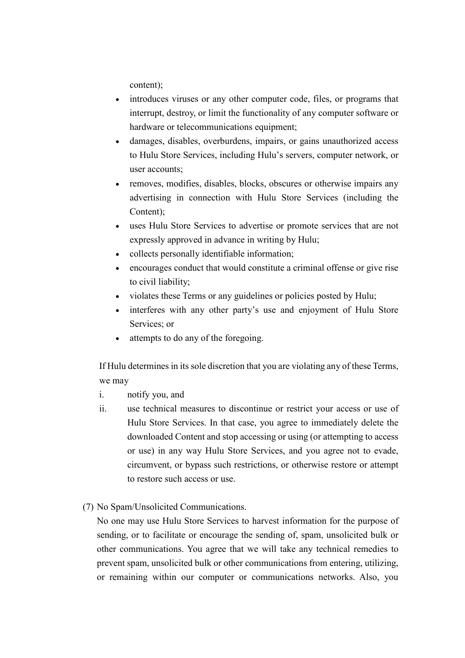content);

- introduces viruses or any other computer code, files, or programs that interrupt, destroy, or limit the functionality of any computer software or hardware or telecommunications equipment;
- damages, disables, overburdens, impairs, or gains unauthorized access to Hulu Store Services, including Hulu's servers, computer network, or user accounts;
- removes, modifies, disables, blocks, obscures or otherwise impairs any advertising in connection with Hulu Store Services (including the Content);
- uses Hulu Store Services to advertise or promote services that are not expressly approved in advance in writing by Hulu;
- collects personally identifiable information;
- encourages conduct that would constitute a criminal offense or give rise to civil liability;
- violates these Terms or any guidelines or policies posted by Hulu;
- interferes with any other party's use and enjoyment of Hulu Store Services; or
- attempts to do any of the foregoing.

If Hulu determines in its sole discretion that you are violating any of these Terms, we may

- i. notify you, and
- ii. use technical measures to discontinue or restrict your access or use of Hulu Store Services. In that case, you agree to immediately delete the downloaded Content and stop accessing or using (or attempting to access or use) in any way Hulu Store Services, and you agree not to evade, circumvent, or bypass such restrictions, or otherwise restore or attempt to restore such access or use.
- (7) No Spam/Unsolicited Communications.

No one may use Hulu Store Services to harvest information for the purpose of sending, or to facilitate or encourage the sending of, spam, unsolicited bulk or other communications. You agree that we will take any technical remedies to prevent spam, unsolicited bulk or other communications from entering, utilizing, or remaining within our computer or communications networks. Also, you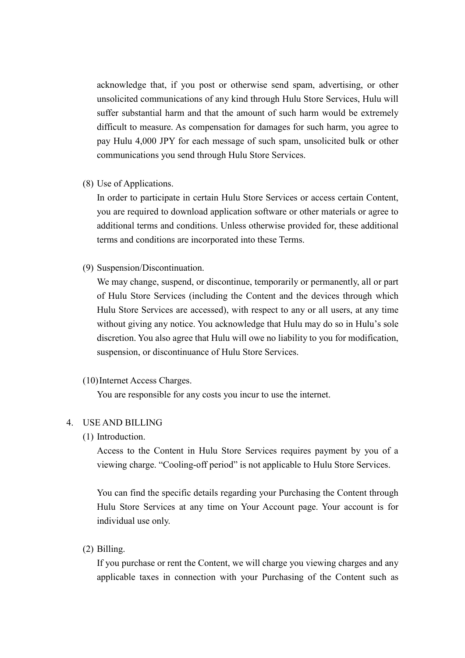acknowledge that, if you post or otherwise send spam, advertising, or other unsolicited communications of any kind through Hulu Store Services, Hulu will suffer substantial harm and that the amount of such harm would be extremely difficult to measure. As compensation for damages for such harm, you agree to pay Hulu 4,000 JPY for each message of such spam, unsolicited bulk or other communications you send through Hulu Store Services.

(8) Use of Applications.

In order to participate in certain Hulu Store Services or access certain Content, you are required to download application software or other materials or agree to additional terms and conditions. Unless otherwise provided for, these additional terms and conditions are incorporated into these Terms.

(9) Suspension/Discontinuation.

We may change, suspend, or discontinue, temporarily or permanently, all or part of Hulu Store Services (including the Content and the devices through which Hulu Store Services are accessed), with respect to any or all users, at any time without giving any notice. You acknowledge that Hulu may do so in Hulu's sole discretion. You also agree that Hulu will owe no liability to you for modification, suspension, or discontinuance of Hulu Store Services.

(10)Internet Access Charges.

You are responsible for any costs you incur to use the internet.

#### 4. USE AND BILLING

(1) Introduction.

Access to the Content in Hulu Store Services requires payment by you of a viewing charge. "Cooling-off period" is not applicable to Hulu Store Services.

You can find the specific details regarding your Purchasing the Content through Hulu Store Services at any time on Your Account page. Your account is for individual use only.

(2) Billing.

If you purchase or rent the Content, we will charge you viewing charges and any applicable taxes in connection with your Purchasing of the Content such as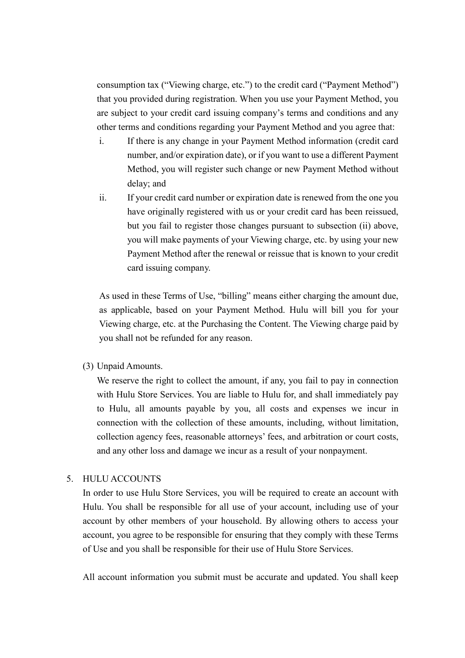consumption tax ("Viewing charge, etc.") to the credit card ("Payment Method") that you provided during registration. When you use your Payment Method, you are subject to your credit card issuing company's terms and conditions and any other terms and conditions regarding your Payment Method and you agree that:

- i. If there is any change in your Payment Method information (credit card number, and/or expiration date), or if you want to use a different Payment Method, you will register such change or new Payment Method without delay; and
- ii. If your credit card number or expiration date is renewed from the one you have originally registered with us or your credit card has been reissued, but you fail to register those changes pursuant to subsection (ii) above, you will make payments of your Viewing charge, etc. by using your new Payment Method after the renewal or reissue that is known to your credit card issuing company.

As used in these Terms of Use, "billing" means either charging the amount due, as applicable, based on your Payment Method. Hulu will bill you for your Viewing charge, etc. at the Purchasing the Content. The Viewing charge paid by you shall not be refunded for any reason.

(3) Unpaid Amounts.

We reserve the right to collect the amount, if any, you fail to pay in connection with Hulu Store Services. You are liable to Hulu for, and shall immediately pay to Hulu, all amounts payable by you, all costs and expenses we incur in connection with the collection of these amounts, including, without limitation, collection agency fees, reasonable attorneys' fees, and arbitration or court costs, and any other loss and damage we incur as a result of your nonpayment.

#### 5. HULU ACCOUNTS

In order to use Hulu Store Services, you will be required to create an account with Hulu. You shall be responsible for all use of your account, including use of your account by other members of your household. By allowing others to access your account, you agree to be responsible for ensuring that they comply with these Terms of Use and you shall be responsible for their use of Hulu Store Services.

All account information you submit must be accurate and updated. You shall keep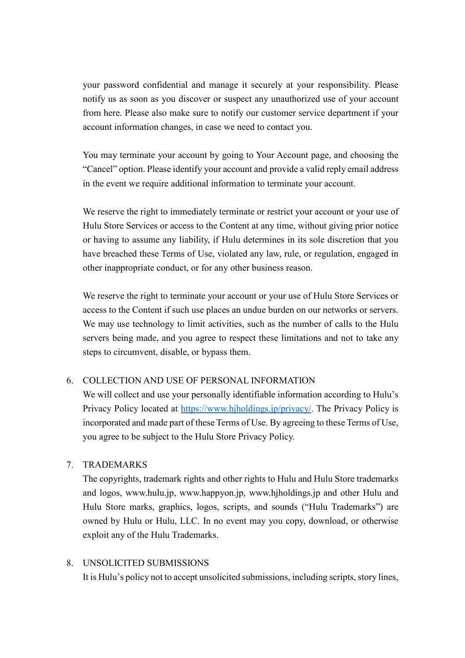your password confidential and manage it securely at your responsibility. Please notify us as soon as you discover or suspect any unauthorized use of your account from here. Please also make sure to notify our customer service department if your account information changes, in case we need to contact you.

You may terminate your account by going to Your Account page, and choosing the "Cancel" option. Please identify your account and provide a valid reply email address in the event we require additional information to terminate your account.

We reserve the right to immediately terminate or restrict your account or your use of Hulu Store Services or access to the Content at any time, without giving prior notice or having to assume any liability, if Hulu determines in its sole discretion that you have breached these Terms of Use, violated any law, rule, or regulation, engaged in other inappropriate conduct, or for any other business reason.

We reserve the right to terminate your account or your use of Hulu Store Services or access to the Content if such use places an undue burden on our networks or servers. We may use technology to limit activities, such as the number of calls to the Hulu servers being made, and you agree to respect these limitations and not to take any steps to circumvent, disable, or bypass them.

### 6. COLLECTION AND USE OF PERSONAL INFORMATION

We will collect and use your personally identifiable information according to Hulu's Privacy Policy located at [https://www.hjholdings.jp/privacy/.](https://www.hjholdings.jp/privacy/) The Privacy Policy is incorporated and made part of these Terms of Use. By agreeing to these Terms of Use, you agree to be subject to the Hulu Store Privacy Policy.

### 7. TRADEMARKS

The copyrights, trademark rights and other rights to Hulu and Hulu Store trademarks and logos, www.hulu.jp, www.happyon.jp, www.hjholdings.jp and other Hulu and Hulu Store marks, graphics, logos, scripts, and sounds ("Hulu Trademarks") are owned by Hulu or Hulu, LLC. In no event may you copy, download, or otherwise exploit any of the Hulu Trademarks.

#### 8. UNSOLICITED SUBMISSIONS

It is Hulu's policy not to accept unsolicited submissions, including scripts, story lines,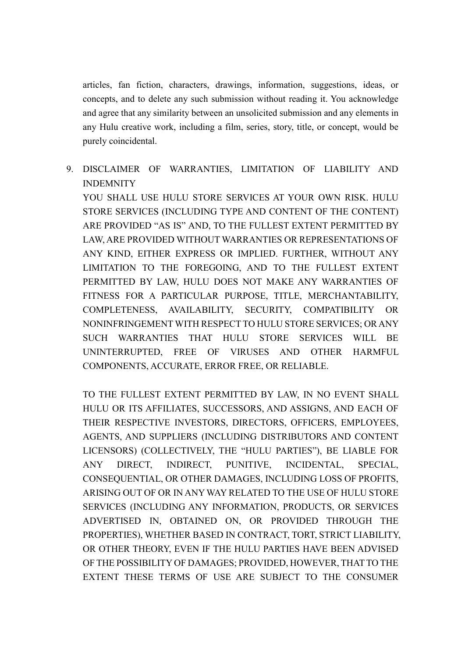articles, fan fiction, characters, drawings, information, suggestions, ideas, or concepts, and to delete any such submission without reading it. You acknowledge and agree that any similarity between an unsolicited submission and any elements in any Hulu creative work, including a film, series, story, title, or concept, would be purely coincidental.

9. DISCLAIMER OF WARRANTIES, LIMITATION OF LIABILITY AND INDEMNITY

YOU SHALL USE HULU STORE SERVICES AT YOUR OWN RISK. HULU STORE SERVICES (INCLUDING TYPE AND CONTENT OF THE CONTENT) ARE PROVIDED "AS IS" AND, TO THE FULLEST EXTENT PERMITTED BY LAW, ARE PROVIDED WITHOUT WARRANTIES OR REPRESENTATIONS OF ANY KIND, EITHER EXPRESS OR IMPLIED. FURTHER, WITHOUT ANY LIMITATION TO THE FOREGOING, AND TO THE FULLEST EXTENT PERMITTED BY LAW, HULU DOES NOT MAKE ANY WARRANTIES OF FITNESS FOR A PARTICULAR PURPOSE, TITLE, MERCHANTABILITY, COMPLETENESS, AVAILABILITY, SECURITY, COMPATIBILITY OR NONINFRINGEMENT WITH RESPECT TO HULU STORE SERVICES; OR ANY SUCH WARRANTIES THAT HULU STORE SERVICES WILL BE UNINTERRUPTED, FREE OF VIRUSES AND OTHER HARMFUL COMPONENTS, ACCURATE, ERROR FREE, OR RELIABLE.

TO THE FULLEST EXTENT PERMITTED BY LAW, IN NO EVENT SHALL HULU OR ITS AFFILIATES, SUCCESSORS, AND ASSIGNS, AND EACH OF THEIR RESPECTIVE INVESTORS, DIRECTORS, OFFICERS, EMPLOYEES, AGENTS, AND SUPPLIERS (INCLUDING DISTRIBUTORS AND CONTENT LICENSORS) (COLLECTIVELY, THE "HULU PARTIES"), BE LIABLE FOR ANY DIRECT, INDIRECT, PUNITIVE, INCIDENTAL, SPECIAL, CONSEQUENTIAL, OR OTHER DAMAGES, INCLUDING LOSS OF PROFITS, ARISING OUT OF OR IN ANY WAY RELATED TO THE USE OF HULU STORE SERVICES (INCLUDING ANY INFORMATION, PRODUCTS, OR SERVICES ADVERTISED IN, OBTAINED ON, OR PROVIDED THROUGH THE PROPERTIES), WHETHER BASED IN CONTRACT, TORT, STRICT LIABILITY, OR OTHER THEORY, EVEN IF THE HULU PARTIES HAVE BEEN ADVISED OF THE POSSIBILITY OF DAMAGES; PROVIDED, HOWEVER, THAT TO THE EXTENT THESE TERMS OF USE ARE SUBJECT TO THE CONSUMER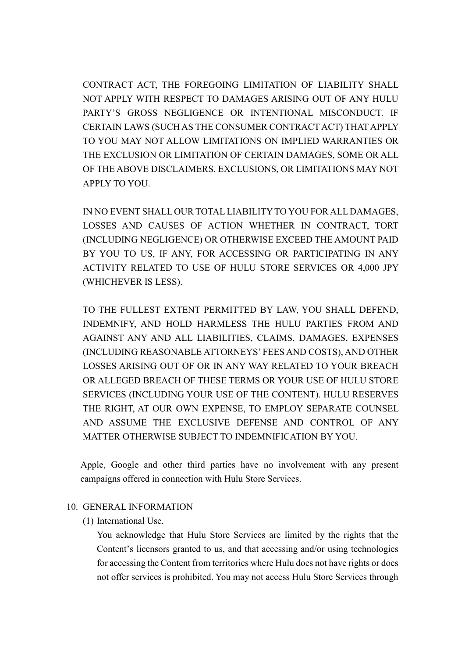CONTRACT ACT, THE FOREGOING LIMITATION OF LIABILITY SHALL NOT APPLY WITH RESPECT TO DAMAGES ARISING OUT OF ANY HULU PARTY'S GROSS NEGLIGENCE OR INTENTIONAL MISCONDUCT. IF CERTAIN LAWS (SUCH AS THE CONSUMER CONTRACT ACT) THAT APPLY TO YOU MAY NOT ALLOW LIMITATIONS ON IMPLIED WARRANTIES OR THE EXCLUSION OR LIMITATION OF CERTAIN DAMAGES, SOME OR ALL OF THE ABOVE DISCLAIMERS, EXCLUSIONS, OR LIMITATIONS MAY NOT APPLY TO YOU.

IN NO EVENT SHALL OUR TOTAL LIABILITY TO YOU FOR ALL DAMAGES, LOSSES AND CAUSES OF ACTION WHETHER IN CONTRACT, TORT (INCLUDING NEGLIGENCE) OR OTHERWISE EXCEED THE AMOUNT PAID BY YOU TO US, IF ANY, FOR ACCESSING OR PARTICIPATING IN ANY ACTIVITY RELATED TO USE OF HULU STORE SERVICES OR 4,000 JPY (WHICHEVER IS LESS).

TO THE FULLEST EXTENT PERMITTED BY LAW, YOU SHALL DEFEND, INDEMNIFY, AND HOLD HARMLESS THE HULU PARTIES FROM AND AGAINST ANY AND ALL LIABILITIES, CLAIMS, DAMAGES, EXPENSES (INCLUDING REASONABLE ATTORNEYS' FEES AND COSTS), AND OTHER LOSSES ARISING OUT OF OR IN ANY WAY RELATED TO YOUR BREACH OR ALLEGED BREACH OF THESE TERMS OR YOUR USE OF HULU STORE SERVICES (INCLUDING YOUR USE OF THE CONTENT). HULU RESERVES THE RIGHT, AT OUR OWN EXPENSE, TO EMPLOY SEPARATE COUNSEL AND ASSUME THE EXCLUSIVE DEFENSE AND CONTROL OF ANY MATTER OTHERWISE SUBJECT TO INDEMNIFICATION BY YOU.

 Apple, Google and other third parties have no involvement with any present campaigns offered in connection with Hulu Store Services.

### 10. GENERAL INFORMATION

#### (1) International Use.

You acknowledge that Hulu Store Services are limited by the rights that the Content's licensors granted to us, and that accessing and/or using technologies for accessing the Content from territories where Hulu does not have rights or does not offer services is prohibited. You may not access Hulu Store Services through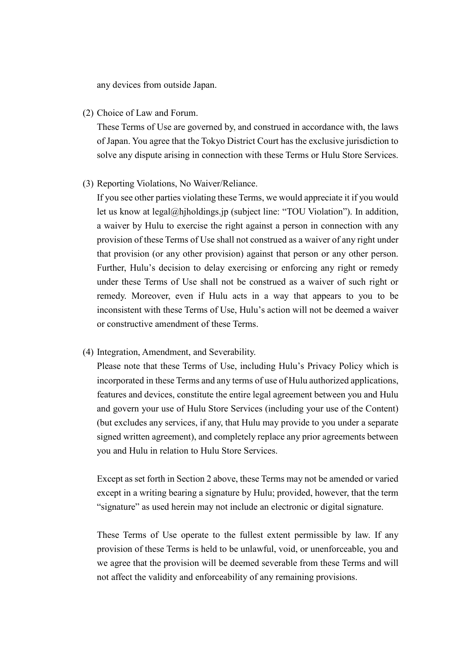any devices from outside Japan.

(2) Choice of Law and Forum.

These Terms of Use are governed by, and construed in accordance with, the laws of Japan. You agree that the Tokyo District Court has the exclusive jurisdiction to solve any dispute arising in connection with these Terms or Hulu Store Services.

(3) Reporting Violations, No Waiver/Reliance.

If you see other parties violating these Terms, we would appreciate it if you would let us know at legal@hjholdings.jp (subject line: "TOU Violation"). In addition, a waiver by Hulu to exercise the right against a person in connection with any provision of these Terms of Use shall not construed as a waiver of any right under that provision (or any other provision) against that person or any other person. Further, Hulu's decision to delay exercising or enforcing any right or remedy under these Terms of Use shall not be construed as a waiver of such right or remedy. Moreover, even if Hulu acts in a way that appears to you to be inconsistent with these Terms of Use, Hulu's action will not be deemed a waiver or constructive amendment of these Terms.

(4) Integration, Amendment, and Severability.

Please note that these Terms of Use, including Hulu's Privacy Policy which is incorporated in these Terms and any terms of use of Hulu authorized applications, features and devices, constitute the entire legal agreement between you and Hulu and govern your use of Hulu Store Services (including your use of the Content) (but excludes any services, if any, that Hulu may provide to you under a separate signed written agreement), and completely replace any prior agreements between you and Hulu in relation to Hulu Store Services.

Except as set forth in Section 2 above, these Terms may not be amended or varied except in a writing bearing a signature by Hulu; provided, however, that the term "signature" as used herein may not include an electronic or digital signature.

These Terms of Use operate to the fullest extent permissible by law. If any provision of these Terms is held to be unlawful, void, or unenforceable, you and we agree that the provision will be deemed severable from these Terms and will not affect the validity and enforceability of any remaining provisions.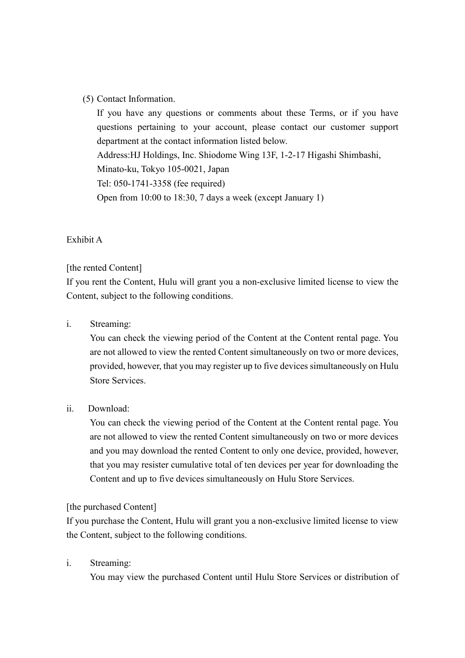#### (5) Contact Information.

If you have any questions or comments about these Terms, or if you have questions pertaining to your account, please contact our customer support department at the contact information listed below. Address:HJ Holdings, Inc. Shiodome Wing 13F, 1-2-17 Higashi Shimbashi, Minato-ku, Tokyo 105-0021, Japan Tel: 050-1741-3358 (fee required) Open from 10:00 to 18:30, 7 days a week (except January 1)

#### Exhibit A

#### [the rented Content]

If you rent the Content, Hulu will grant you a non-exclusive limited license to view the Content, subject to the following conditions.

#### i. Streaming:

 You can check the viewing period of the Content at the Content rental page. You are not allowed to view the rented Content simultaneously on two or more devices, provided, however, that you may register up to five devices simultaneously on Hulu Store Services.

#### ii. Download:

 You can check the viewing period of the Content at the Content rental page. You are not allowed to view the rented Content simultaneously on two or more devices and you may download the rented Content to only one device, provided, however, that you may resister cumulative total of ten devices per year for downloading the Content and up to five devices simultaneously on Hulu Store Services.

#### [the purchased Content]

If you purchase the Content, Hulu will grant you a non-exclusive limited license to view the Content, subject to the following conditions.

#### i. Streaming:

You may view the purchased Content until Hulu Store Services or distribution of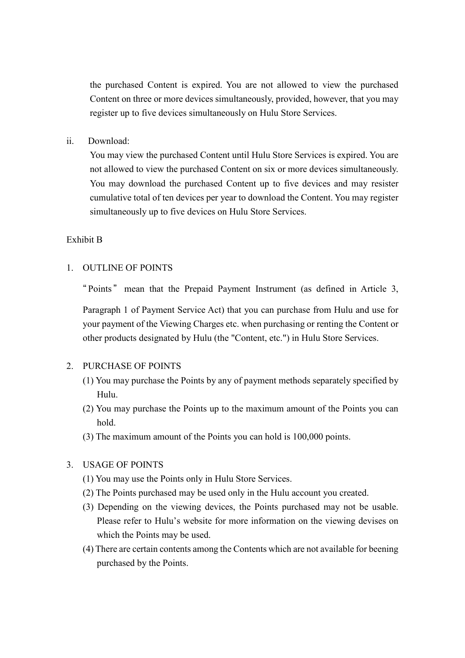the purchased Content is expired. You are not allowed to view the purchased Content on three or more devices simultaneously, provided, however, that you may register up to five devices simultaneously on Hulu Store Services.

ii. Download:

 You may view the purchased Content until Hulu Store Services is expired. You are not allowed to view the purchased Content on six or more devices simultaneously. You may download the purchased Content up to five devices and may resister cumulative total of ten devices per year to download the Content. You may register simultaneously up to five devices on Hulu Store Services.

#### Exhibit B

#### 1. OUTLINE OF POINTS

" Points " mean that the Prepaid Payment Instrument (as defined in Article 3,

Paragraph 1 of Payment Service Act) that you can purchase from Hulu and use for your payment of the Viewing Charges etc. when purchasing or renting the Content or other products designated by Hulu (the "Content, etc.") in Hulu Store Services.

#### 2. PURCHASE OF POINTS

- (1) You may purchase the Points by any of payment methods separately specified by Hulu.
- (2) You may purchase the Points up to the maximum amount of the Points you can hold.
- (3) The maximum amount of the Points you can hold is 100,000 points.

#### 3. USAGE OF POINTS

- (1) You may use the Points only in Hulu Store Services.
- (2) The Points purchased may be used only in the Hulu account you created.
- (3) Depending on the viewing devices, the Points purchased may not be usable. Please refer to Hulu's website for more information on the viewing devises on which the Points may be used.
- (4) There are certain contents among the Contents which are not available for beening purchased by the Points.